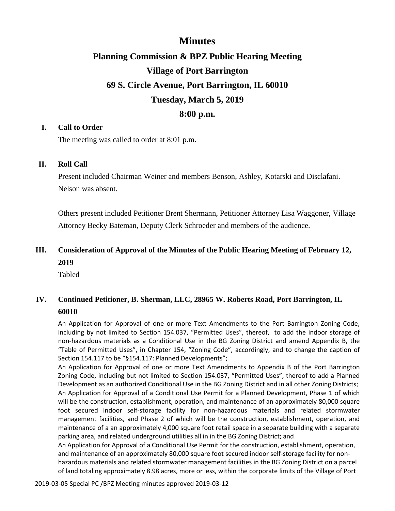## **Minutes**

# **Planning Commission & BPZ Public Hearing Meeting Village of Port Barrington 69 S. Circle Avenue, Port Barrington, IL 60010 Tuesday, March 5, 2019 8:00 p.m.**

#### **I. Call to Order**

The meeting was called to order at 8:01 p.m.

#### **II. Roll Call**

Present included Chairman Weiner and members Benson, Ashley, Kotarski and Disclafani. Nelson was absent.

Others present included Petitioner Brent Shermann, Petitioner Attorney Lisa Waggoner, Village Attorney Becky Bateman, Deputy Clerk Schroeder and members of the audience.

## **III. Consideration of Approval of the Minutes of the Public Hearing Meeting of February 12, 2019**

Tabled

### **IV. Continued Petitioner, B. Sherman, LLC, 28965 W. Roberts Road, Port Barrington, IL 60010**

An Application for Approval of one or more Text Amendments to the Port Barrington Zoning Code, including by not limited to Section 154.037, "Permitted Uses", thereof, to add the indoor storage of non-hazardous materials as a Conditional Use in the BG Zoning District and amend Appendix B, the "Table of Permitted Uses", in Chapter 154, "Zoning Code", accordingly, and to change the caption of Section 154.117 to be "§154.117: Planned Developments";

An Application for Approval of one or more Text Amendments to Appendix B of the Port Barrington Zoning Code, including but not limited to Section 154.037, "Permitted Uses", thereof to add a Planned Development as an authorized Conditional Use in the BG Zoning District and in all other Zoning Districts; An Application for Approval of a Conditional Use Permit for a Planned Development, Phase 1 of which will be the construction, establishment, operation, and maintenance of an approximately 80,000 square foot secured indoor self-storage facility for non-hazardous materials and related stormwater management facilities, and Phase 2 of which will be the construction, establishment, operation, and maintenance of a an approximately 4,000 square foot retail space in a separate building with a separate parking area, and related underground utilities all in in the BG Zoning District; and

An Application for Approval of a Conditional Use Permit for the construction, establishment, operation, and maintenance of an approximately 80,000 square foot secured indoor self-storage facility for nonhazardous materials and related stormwater management facilities in the BG Zoning District on a parcel of land totaling approximately 8.98 acres, more or less, within the corporate limits of the Village of Port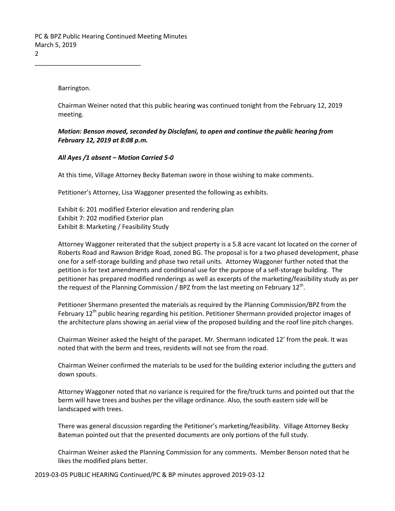Barrington.

\_\_\_\_\_\_\_\_\_\_\_\_\_\_\_\_\_\_\_\_\_\_\_\_\_\_\_\_\_\_

Chairman Weiner noted that this public hearing was continued tonight from the February 12, 2019 meeting.

*Motion: Benson moved, seconded by Disclafani, to open and continue the public hearing from February 12, 2019 at 8:08 p.m.* 

#### *All Ayes /1 absent – Motion Carried 5-0*

At this time, Village Attorney Becky Bateman swore in those wishing to make comments.

Petitioner's Attorney, Lisa Waggoner presented the following as exhibits.

Exhibit 6: 201 modified Exterior elevation and rendering plan Exhibit 7: 202 modified Exterior plan Exhibit 8: Marketing / Feasibility Study

Attorney Waggoner reiterated that the subject property is a 5.8 acre vacant lot located on the corner of Roberts Road and Rawson Bridge Road, zoned BG. The proposal is for a two phased development, phase one for a self-storage building and phase two retail units. Attorney Waggoner further noted that the petition is for text amendments and conditional use for the purpose of a self-storage building. The petitioner has prepared modified renderings as well as excerpts of the marketing/feasibility study as per the request of the Planning Commission / BPZ from the last meeting on February 12<sup>th</sup>.

Petitioner Shermann presented the materials as required by the Planning Commission/BPZ from the February 12<sup>th</sup> public hearing regarding his petition. Petitioner Shermann provided projector images of the architecture plans showing an aerial view of the proposed building and the roof line pitch changes.

Chairman Weiner asked the height of the parapet. Mr. Shermann indicated 12' from the peak. It was noted that with the berm and trees, residents will not see from the road.

Chairman Weiner confirmed the materials to be used for the building exterior including the gutters and down spouts.

Attorney Waggoner noted that no variance is required for the fire/truck turns and pointed out that the berm will have trees and bushes per the village ordinance. Also, the south eastern side will be landscaped with trees.

There was general discussion regarding the Petitioner's marketing/feasibility. Village Attorney Becky Bateman pointed out that the presented documents are only portions of the full study.

Chairman Weiner asked the Planning Commission for any comments. Member Benson noted that he likes the modified plans better.

2019-03-05 PUBLIC HEARING Continued/PC & BP minutes approved 2019-03-12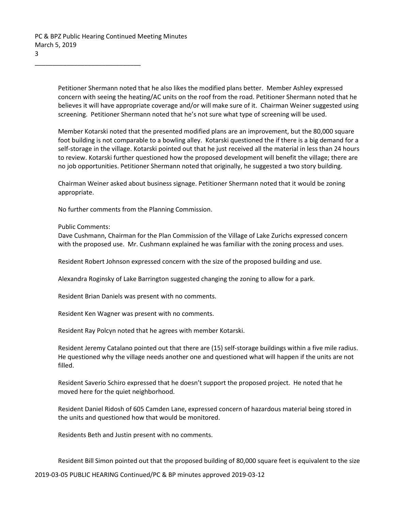\_\_\_\_\_\_\_\_\_\_\_\_\_\_\_\_\_\_\_\_\_\_\_\_\_\_\_\_\_\_

Petitioner Shermann noted that he also likes the modified plans better. Member Ashley expressed concern with seeing the heating/AC units on the roof from the road. Petitioner Shermann noted that he believes it will have appropriate coverage and/or will make sure of it. Chairman Weiner suggested using screening. Petitioner Shermann noted that he's not sure what type of screening will be used.

Member Kotarski noted that the presented modified plans are an improvement, but the 80,000 square foot building is not comparable to a bowling alley. Kotarski questioned the if there is a big demand for a self-storage in the village. Kotarski pointed out that he just received all the material in less than 24 hours to review. Kotarski further questioned how the proposed development will benefit the village; there are no job opportunities. Petitioner Shermann noted that originally, he suggested a two story building.

Chairman Weiner asked about business signage. Petitioner Shermann noted that it would be zoning appropriate.

No further comments from the Planning Commission.

Public Comments:

Dave Cushmann, Chairman for the Plan Commission of the Village of Lake Zurichs expressed concern with the proposed use. Mr. Cushmann explained he was familiar with the zoning process and uses.

Resident Robert Johnson expressed concern with the size of the proposed building and use.

Alexandra Roginsky of Lake Barrington suggested changing the zoning to allow for a park.

Resident Brian Daniels was present with no comments.

Resident Ken Wagner was present with no comments.

Resident Ray Polcyn noted that he agrees with member Kotarski.

Resident Jeremy Catalano pointed out that there are (15) self-storage buildings within a five mile radius. He questioned why the village needs another one and questioned what will happen if the units are not filled.

Resident Saverio Schiro expressed that he doesn't support the proposed project. He noted that he moved here for the quiet neighborhood.

Resident Daniel Ridosh of 605 Camden Lane, expressed concern of hazardous material being stored in the units and questioned how that would be monitored.

Residents Beth and Justin present with no comments.

Resident Bill Simon pointed out that the proposed building of 80,000 square feet is equivalent to the size

2019-03-05 PUBLIC HEARING Continued/PC & BP minutes approved 2019-03-12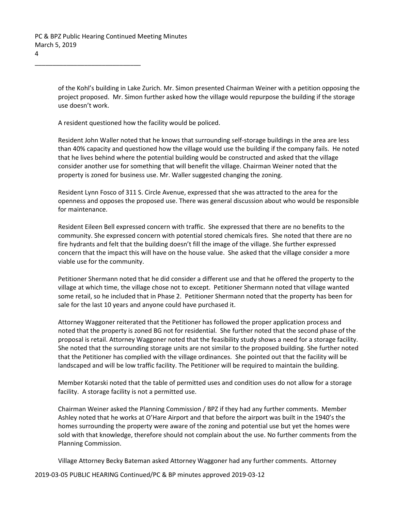\_\_\_\_\_\_\_\_\_\_\_\_\_\_\_\_\_\_\_\_\_\_\_\_\_\_\_\_\_\_

of the Kohl's building in Lake Zurich. Mr. Simon presented Chairman Weiner with a petition opposing the project proposed. Mr. Simon further asked how the village would repurpose the building if the storage use doesn't work.

A resident questioned how the facility would be policed.

Resident John Waller noted that he knows that surrounding self-storage buildings in the area are less than 40% capacity and questioned how the village would use the building if the company fails. He noted that he lives behind where the potential building would be constructed and asked that the village consider another use for something that will benefit the village. Chairman Weiner noted that the property is zoned for business use. Mr. Waller suggested changing the zoning.

Resident Lynn Fosco of 311 S. Circle Avenue, expressed that she was attracted to the area for the openness and opposes the proposed use. There was general discussion about who would be responsible for maintenance.

Resident Eileen Bell expressed concern with traffic. She expressed that there are no benefits to the community. She expressed concern with potential stored chemicals fires. She noted that there are no fire hydrants and felt that the building doesn't fill the image of the village. She further expressed concern that the impact this will have on the house value. She asked that the village consider a more viable use for the community.

Petitioner Shermann noted that he did consider a different use and that he offered the property to the village at which time, the village chose not to except. Petitioner Shermann noted that village wanted some retail, so he included that in Phase 2. Petitioner Shermann noted that the property has been for sale for the last 10 years and anyone could have purchased it.

Attorney Waggoner reiterated that the Petitioner has followed the proper application process and noted that the property is zoned BG not for residential. She further noted that the second phase of the proposal is retail. Attorney Waggoner noted that the feasibility study shows a need for a storage facility. She noted that the surrounding storage units are not similar to the proposed building. She further noted that the Petitioner has complied with the village ordinances. She pointed out that the facility will be landscaped and will be low traffic facility. The Petitioner will be required to maintain the building.

Member Kotarski noted that the table of permitted uses and condition uses do not allow for a storage facility. A storage facility is not a permitted use.

Chairman Weiner asked the Planning Commission / BPZ if they had any further comments. Member Ashley noted that he works at O'Hare Airport and that before the airport was built in the 1940's the homes surrounding the property were aware of the zoning and potential use but yet the homes were sold with that knowledge, therefore should not complain about the use. No further comments from the Planning Commission.

Village Attorney Becky Bateman asked Attorney Waggoner had any further comments. Attorney

2019-03-05 PUBLIC HEARING Continued/PC & BP minutes approved 2019-03-12